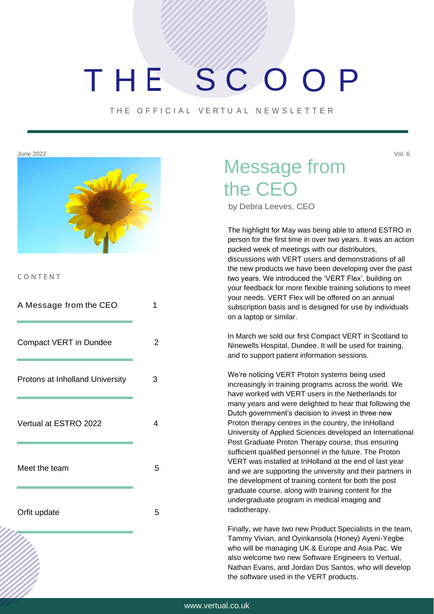# THE SCOOP

THE OFFICIAL VERTUAL NEWSLETTER



C O N T E N T

| A Message from the CEO          | 1 |
|---------------------------------|---|
| <b>Compact VERT in Dundee</b>   | 2 |
| Protons at Inholland University | 3 |
| Vertual at ESTRO 2022           | 4 |
| Meet the team                   | 5 |
| Orfit update                    | 5 |

## June 2022 Vol. 6 Message from the CEO

by Debra Leeves, CEO

The highlight for May was being able to attend ESTRO in person for the first time in over two years. It was an action packed week of meetings with our distributors, discussions with VERT users and demonstrations of all the new products we have been developing over the past two years. We introduced the 'VERT Flex', building on your feedback for more flexible training solutions to meet your needs. VERT Flex will be offered on an annual subscription basis and is designed for use by individuals on a laptop or similar.

In March we sold our first Compact VERT in Scotland to Ninewells Hospital, Dundee. It will be used for training, and to support patient information sessions.

We're noticing VERT Proton systems being used increasingly in training programs across the world. We have worked with VERT users in the Netherlands for many years and were delighted to hear that following the Dutch government's decision to invest in three new Proton therapy centres in the country, the InHolland University of Applied Sciences developed an International Post Graduate Proton Therapy course, thus ensuring sufficient qualified personnel in the future. The Proton VERT was installed at InHolland at the end of last year and we are supporting the university and their partners in the development of training content for both the post graduate course, along with training content for the undergraduate program in medical imaging and radiotherapy.

Finally, we have two new Product Specialists in the team, Tammy Vivian, and Oyinkansola (Honey) Ayeni-Yegbe who will be managing UK & Europe and Asia Pac. We also welcome two new Software Engineers to Vertual, Nathan Evans, and Jordan Dos Santos, who will develop the software used in the VERT products.

I hope you enjoy this newsletter.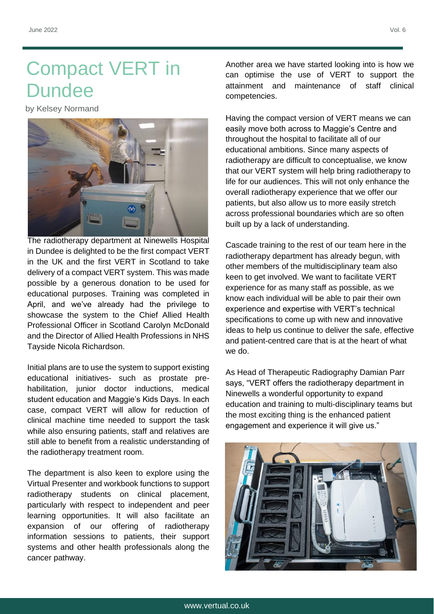## Compact VERT in **Dundee**

by Kelsey Normand



The radiotherapy department at Ninewells Hospital in Dundee is delighted to be the first compact VERT in the UK and the first VERT in Scotland to take delivery of a compact VERT system. This was made possible by a generous donation to be used for educational purposes. Training was completed in April, and we've already had the privilege to showcase the system to the Chief Allied Health Professional Officer in Scotland Carolyn McDonald and the Director of Allied Health Professions in NHS Tayside Nicola Richardson.

Initial plans are to use the system to support existing educational initiatives- such as prostate prehabilitation, junior doctor inductions, medical student education and Maggie's Kids Days. In each case, compact VERT will allow for reduction of clinical machine time needed to support the task while also ensuring patients, staff and relatives are still able to benefit from a realistic understanding of the radiotherapy treatment room.

The department is also keen to explore using the Virtual Presenter and workbook functions to support radiotherapy students on clinical placement, particularly with respect to independent and peer learning opportunities. It will also facilitate an expansion of our offering of radiotherapy information sessions to patients, their support systems and other health professionals along the cancer pathway.

Another area we have started looking into is how we can optimise the use of VERT to support the attainment and maintenance of staff clinical competencies.

Having the compact version of VERT means we can easily move both across to Maggie's Centre and throughout the hospital to facilitate all of our educational ambitions. Since many aspects of radiotherapy are difficult to conceptualise, we know that our VERT system will help bring radiotherapy to life for our audiences. This will not only enhance the overall radiotherapy experience that we offer our patients, but also allow us to more easily stretch across professional boundaries which are so often built up by a lack of understanding.

Cascade training to the rest of our team here in the radiotherapy department has already begun, with other members of the multidisciplinary team also keen to get involved. We want to facilitate VERT experience for as many staff as possible, as we know each individual will be able to pair their own experience and expertise with VERT's technical specifications to come up with new and innovative ideas to help us continue to deliver the safe, effective and patient-centred care that is at the heart of what we do.

As Head of Therapeutic Radiography Damian Parr says, "VERT offers the radiotherapy department in Ninewells a wonderful opportunity to expand education and training to multi-disciplinary teams but the most exciting thing is the enhanced patient engagement and experience it will give us."

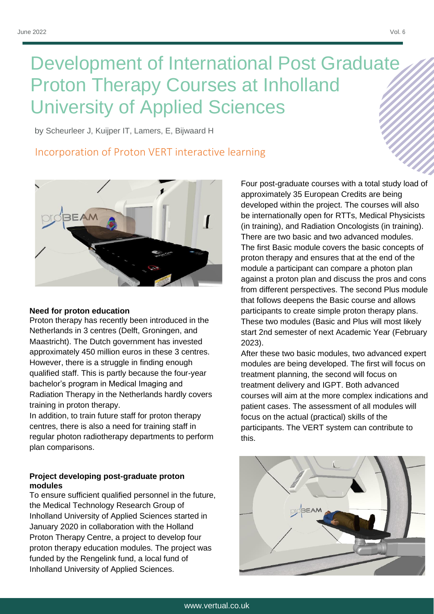## Development of International Post Graduate Proton Therapy Courses at Inholland University of Applied Sciences

by Scheurleer J, Kuijper IT, Lamers, E, Bijwaard H

### Incorporation of Proton VERT interactive learning



### **Need for proton education**

Proton therapy has recently been introduced in the Netherlands in 3 centres (Delft, Groningen, and Maastricht). The Dutch government has invested approximately 450 million euros in these 3 centres. However, there is a struggle in finding enough qualified staff. This is partly because the four-year bachelor's program in Medical Imaging and Radiation Therapy in the Netherlands hardly covers training in proton therapy.

In addition, to train future staff for proton therapy centres, there is also a need for training staff in regular photon radiotherapy departments to perform plan comparisons.

### **Project developing post-graduate proton modules**

To ensure sufficient qualified personnel in the future, the Medical Technology Research Group of Inholland University of Applied Sciences started in January 2020 in collaboration with the Holland Proton Therapy Centre, a project to develop four proton therapy education modules. The project was funded by the Rengelink fund, a local fund of Inholland University of Applied Sciences.

Four post-graduate courses with a total study load of approximately 35 European Credits are being developed within the project. The courses will also be internationally open for RTTs, Medical Physicists (in training), and Radiation Oncologists (in training). There are two basic and two advanced modules. The first Basic module covers the basic concepts of proton therapy and ensures that at the end of the module a participant can compare a photon plan against a proton plan and discuss the pros and cons from different perspectives. The second Plus module that follows deepens the Basic course and allows participants to create simple proton therapy plans. These two modules (Basic and Plus will most likely start 2nd semester of next Academic Year (February 2023).

After these two basic modules, two advanced expert modules are being developed. The first will focus on treatment planning, the second will focus on treatment delivery and IGPT. Both advanced courses will aim at the more complex indications and patient cases. The assessment of all modules will focus on the actual (practical) skills of the participants. The VERT system can contribute to this.

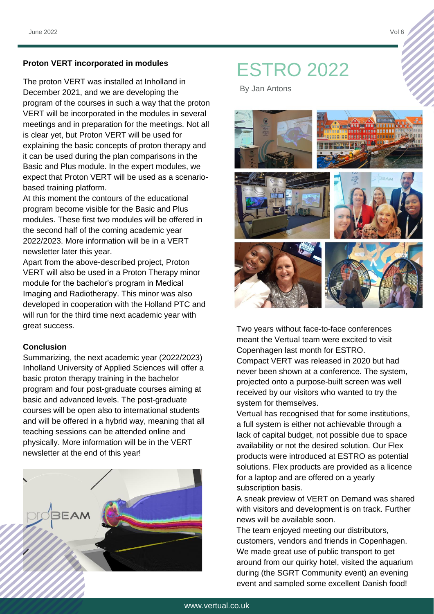The proton VERT was installed at Inholland in December 2021, and we are developing the program of the courses in such a way that the proton VERT will be incorporated in the modules in several meetings and in preparation for the meetings. Not all is clear yet, but Proton VERT will be used for explaining the basic concepts of proton therapy and it can be used during the plan comparisons in the Basic and Plus module. In the expert modules, we expect that Proton VERT will be used as a scenariobased training platform.

At this moment the contours of the educational program become visible for the Basic and Plus modules. These first two modules will be offered in the second half of the coming academic year 2022/2023. More information will be in a VERT newsletter later this year.

Apart from the above-described project, Proton VERT will also be used in a Proton Therapy minor module for the bachelor's program in Medical Imaging and Radiotherapy. This minor was also developed in cooperation with the Holland PTC and will run for the third time next academic year with great success.

### **Conclusion**

Summarizing, the next academic year (2022/2023) Inholland University of Applied Sciences will offer a basic proton therapy training in the bachelor program and four post-graduate courses aiming at basic and advanced levels. The post-graduate courses will be open also to international students and will be offered in a hybrid way, meaning that all teaching sessions can be attended online and physically. More information will be in the VERT newsletter at the end of this year!



## Proton VERT incorporated in modules<br> **ESTRO 2022**

By Jan Antons



Two years without face-to-face conferences meant the Vertual team were excited to visit Copenhagen last month for ESTRO. Compact VERT was released in 2020 but had never been shown at a conference. The system, projected onto a purpose-built screen was well received by our visitors who wanted to try the system for themselves.

Vertual has recognised that for some institutions, a full system is either not achievable through a lack of capital budget, not possible due to space availability or not the desired solution. Our Flex products were introduced at ESTRO as potential solutions. Flex products are provided as a licence for a laptop and are offered on a yearly subscription basis.

A sneak preview of VERT on Demand was shared with visitors and development is on track. Further news will be available soon.

The team enjoyed meeting our distributors, customers, vendors and friends in Copenhagen. We made great use of public transport to get around from our quirky hotel, visited the aquarium during (the SGRT Community event) an evening event and sampled some excellent Danish food!